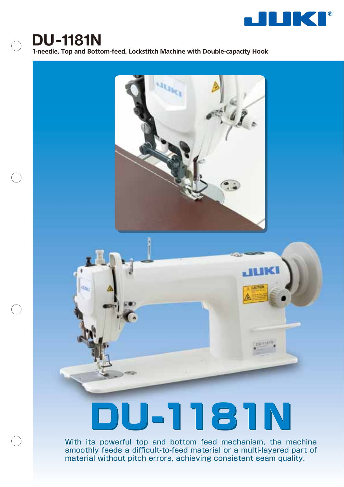

## **DU-1181N**

**1-needle, Top and Bottom-feed, Lockstitch Machine with Double-capacity Hook**



With its powerful top and bottom feed mechanism, the machine With its powerful top and bottom feed mechanism, the machine smoothly feeds a difficult-to-feed material or a multi-layered part of smoothly feeds a difficult-to-feed material or a multi-layered part of material without pitch errors, achieving consistent seam quality. material without pitch errors, achieving consistent seam quality.